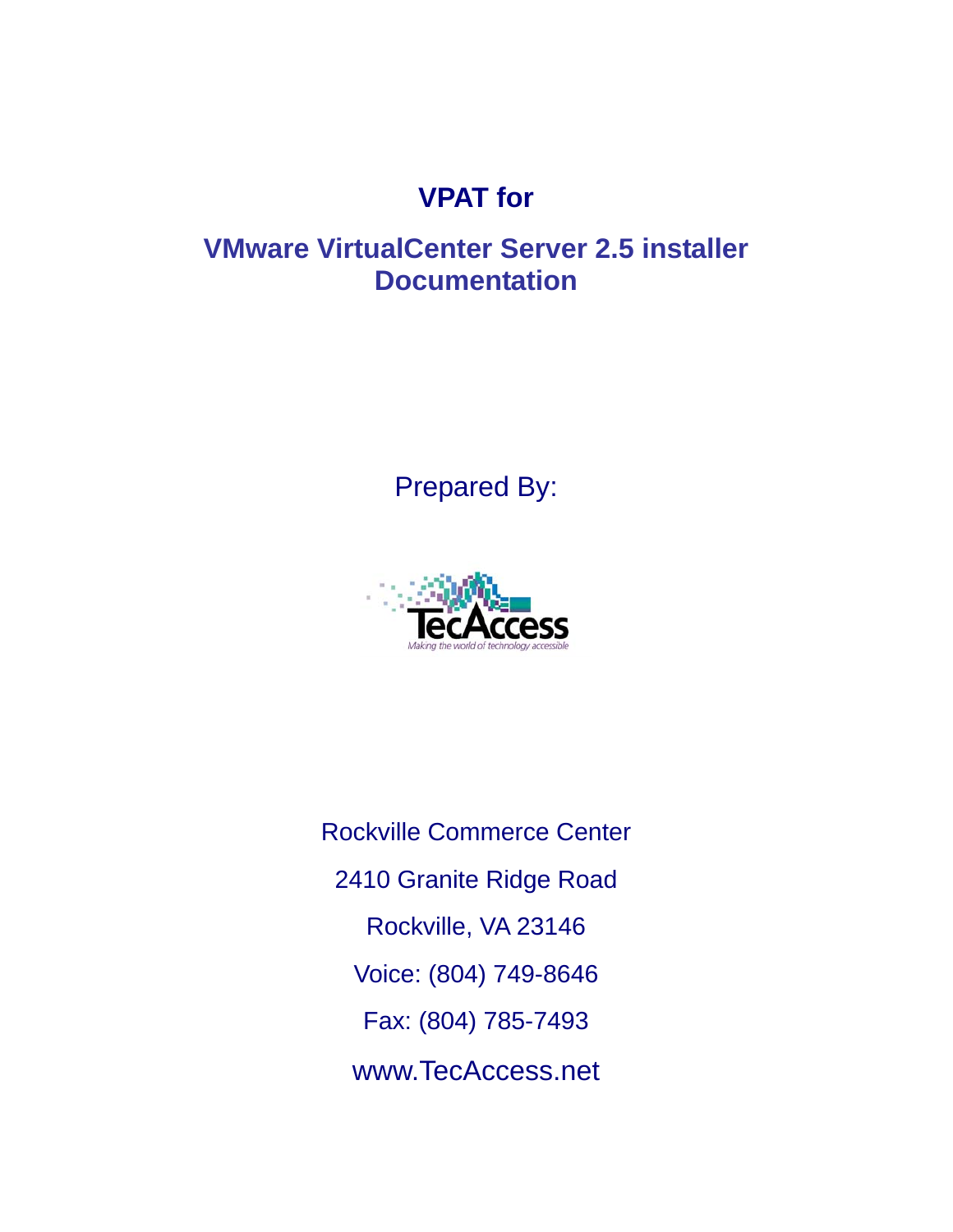# **VPAT for**

## **VMware VirtualCenter Server 2.5 installer Documentation**

Prepared By:



Rockville Commerce Center 2410 Granite Ridge Road Rockville, VA 23146 Voice: (804) 749-8646 Fax: (804) 785-7493 www.TecAccess.net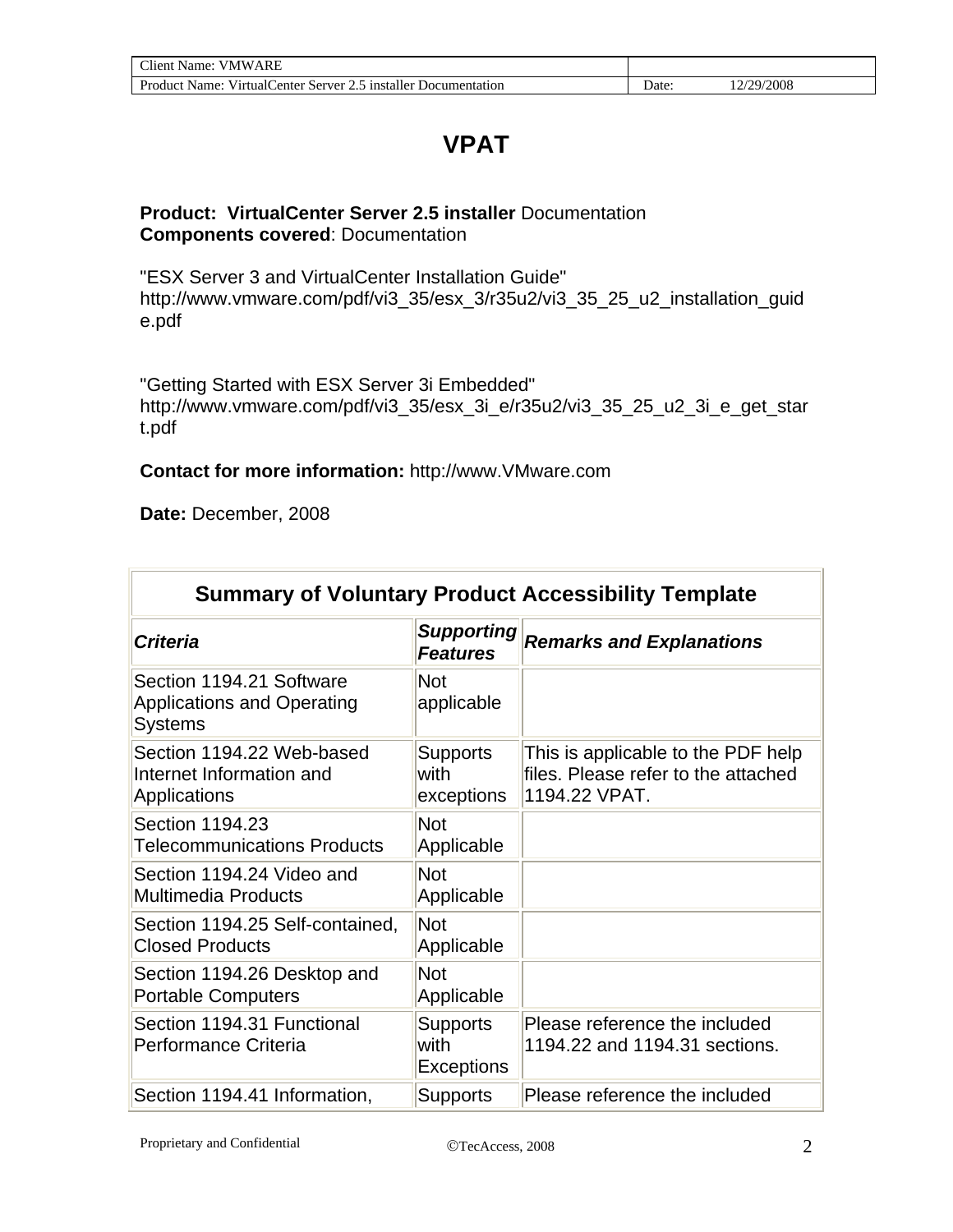## **VPAT**

#### **Product: VirtualCenter Server 2.5 installer** Documentation **Components covered**: Documentation

"ESX Server 3 and VirtualCenter Installation Guide" http://www.vmware.com/pdf/vi3\_35/esx\_3/r35u2/vi3\_35\_25\_u2\_installation\_guid e.pdf

"Getting Started with ESX Server 3i Embedded" http://www.vmware.com/pdf/vi3\_35/esx\_3i\_e/r35u2/vi3\_35\_25\_u2\_3i\_e\_get\_star t.pdf

#### **Contact for more information:** http://www.VMware.com

**Date:** December, 2008

In

| <b>Summary of Voluntary Product Accessibility Template</b>                      |                                              |                                                                                            |  |
|---------------------------------------------------------------------------------|----------------------------------------------|--------------------------------------------------------------------------------------------|--|
| <b>Criteria</b>                                                                 | <b>Supporting</b><br><b>Features</b>         | <b>Remarks and Explanations</b>                                                            |  |
| Section 1194.21 Software<br><b>Applications and Operating</b><br><b>Systems</b> | <b>Not</b><br>applicable                     |                                                                                            |  |
| Section 1194.22 Web-based<br>Internet Information and<br>Applications           | <b>Supports</b><br>with<br>exceptions        | This is applicable to the PDF help<br>files. Please refer to the attached<br>1194.22 VPAT. |  |
| Section 1194.23<br><b>Telecommunications Products</b>                           | <b>Not</b><br>Applicable                     |                                                                                            |  |
| Section 1194.24 Video and<br><b>Multimedia Products</b>                         | <b>Not</b><br>Applicable                     |                                                                                            |  |
| Section 1194.25 Self-contained,<br><b>Closed Products</b>                       | <b>Not</b><br>Applicable                     |                                                                                            |  |
| Section 1194.26 Desktop and<br><b>Portable Computers</b>                        | <b>Not</b><br>Applicable                     |                                                                                            |  |
| Section 1194.31 Functional<br>Performance Criteria                              | <b>Supports</b><br>with<br><b>Exceptions</b> | Please reference the included<br>1194.22 and 1194.31 sections.                             |  |
| Section 1194.41 Information,                                                    | <b>Supports</b>                              | Please reference the included                                                              |  |

-1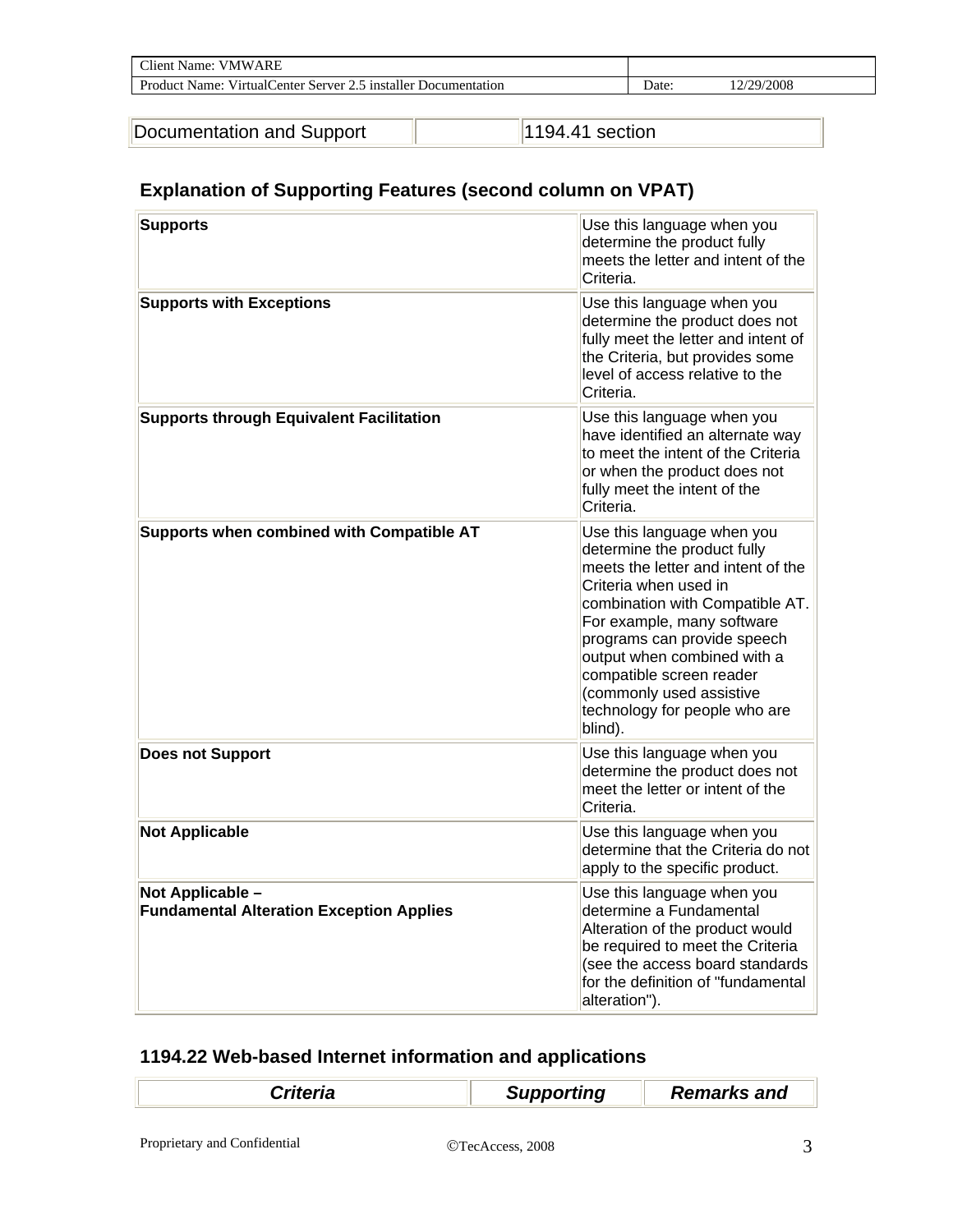| <b>VMWARE</b><br>Name:<br>:Tient                                         |       |            |  |
|--------------------------------------------------------------------------|-------|------------|--|
| <b>Product Name:</b><br>VirtualCenter Server 2.5 installer Documentation | Date: | 12/29/2008 |  |

| Documentation and Support |
|---------------------------|
|                           |

pport 1194.41 section

### **Explanation of Supporting Features (second column on VPAT)**

| <b>Supports</b>                                                     | Use this language when you<br>determine the product fully<br>meets the letter and intent of the<br>Criteria.                                                                                                                                                                                                                                                |
|---------------------------------------------------------------------|-------------------------------------------------------------------------------------------------------------------------------------------------------------------------------------------------------------------------------------------------------------------------------------------------------------------------------------------------------------|
| <b>Supports with Exceptions</b>                                     | Use this language when you<br>determine the product does not<br>fully meet the letter and intent of<br>the Criteria, but provides some<br>level of access relative to the<br>Criteria.                                                                                                                                                                      |
| <b>Supports through Equivalent Facilitation</b>                     | Use this language when you<br>have identified an alternate way<br>to meet the intent of the Criteria<br>or when the product does not<br>fully meet the intent of the<br>Criteria.                                                                                                                                                                           |
| Supports when combined with Compatible AT                           | Use this language when you<br>determine the product fully<br>meets the letter and intent of the<br>Criteria when used in<br>combination with Compatible AT.<br>For example, many software<br>programs can provide speech<br>output when combined with a<br>compatible screen reader<br>(commonly used assistive<br>technology for people who are<br>blind). |
| <b>Does not Support</b>                                             | Use this language when you<br>determine the product does not<br>meet the letter or intent of the<br>Criteria.                                                                                                                                                                                                                                               |
| <b>Not Applicable</b>                                               | Use this language when you<br>determine that the Criteria do not<br>apply to the specific product.                                                                                                                                                                                                                                                          |
| Not Applicable -<br><b>Fundamental Alteration Exception Applies</b> | Use this language when you<br>determine a Fundamental<br>Alteration of the product would<br>be required to meet the Criteria<br>(see the access board standards<br>for the definition of "fundamental<br>alteration").                                                                                                                                      |

### **1194.22 Web-based Internet information and applications**

| Criteria | <b>Supporting</b> | <b>Remarks and</b> |
|----------|-------------------|--------------------|
|          |                   |                    |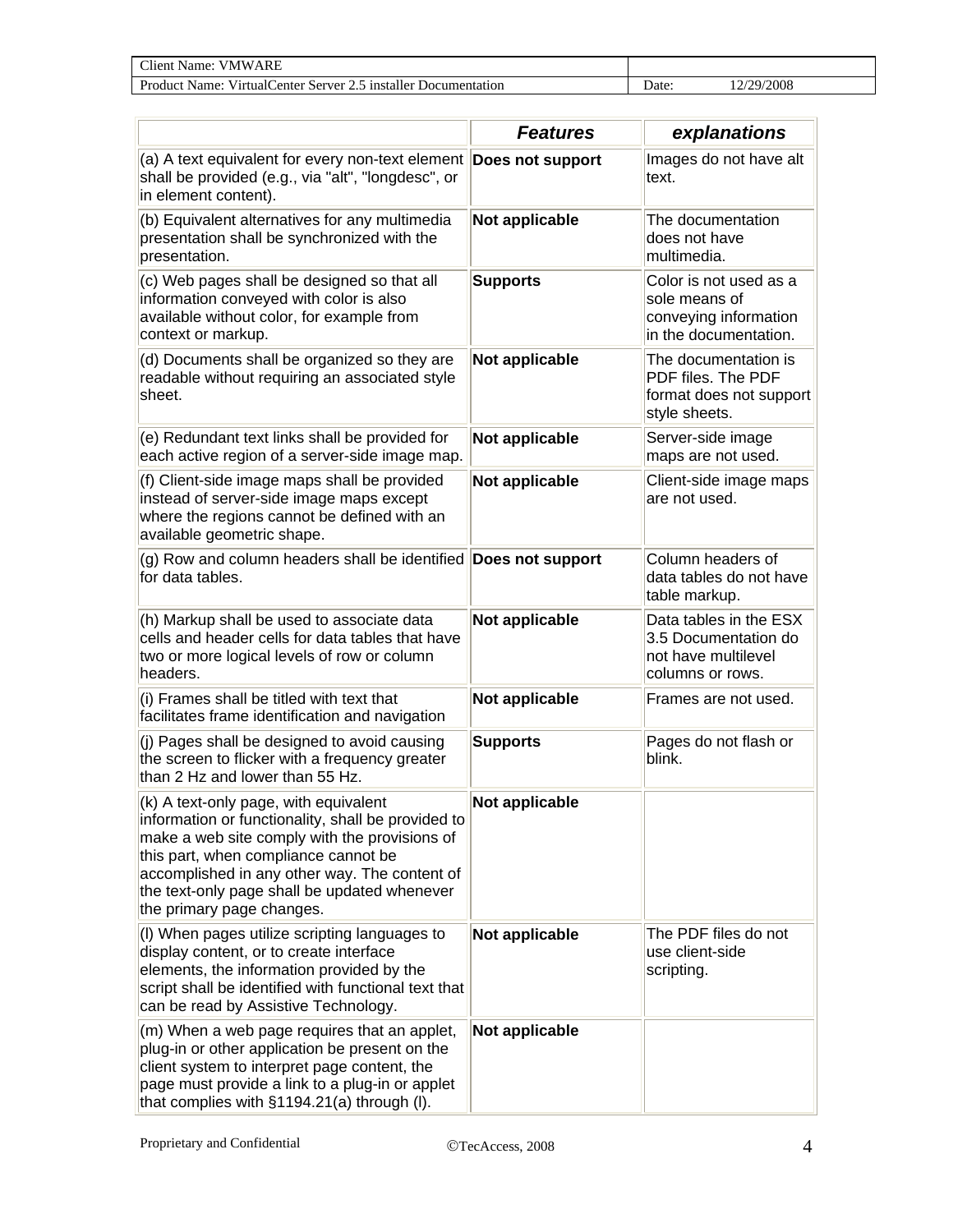| ARF<br>`lıent<br>Name<br>7 NA W                                                         |      |             |
|-----------------------------------------------------------------------------------------|------|-------------|
| .<br>installer<br>Server<br>Name:<br>Virtual<br>enter:<br>Documentation<br>oduct<br>ں ک | Date | /2008<br>79 |

|                                                                                                                                                                                                                                                                                                                    | <b>Features</b>  | explanations                                                                              |
|--------------------------------------------------------------------------------------------------------------------------------------------------------------------------------------------------------------------------------------------------------------------------------------------------------------------|------------------|-------------------------------------------------------------------------------------------|
| (a) A text equivalent for every non-text element<br>shall be provided (e.g., via "alt", "longdesc", or<br>in element content).                                                                                                                                                                                     | Does not support | Images do not have alt<br>text.                                                           |
| (b) Equivalent alternatives for any multimedia<br>presentation shall be synchronized with the<br>presentation.                                                                                                                                                                                                     | Not applicable   | The documentation<br>does not have<br>multimedia.                                         |
| (c) Web pages shall be designed so that all<br>information conveyed with color is also<br>available without color, for example from<br>context or markup.                                                                                                                                                          | <b>Supports</b>  | Color is not used as a<br>sole means of<br>conveying information<br>in the documentation. |
| (d) Documents shall be organized so they are<br>readable without requiring an associated style<br>sheet.                                                                                                                                                                                                           | Not applicable   | The documentation is<br>PDF files. The PDF<br>format does not support<br>style sheets.    |
| (e) Redundant text links shall be provided for<br>each active region of a server-side image map.                                                                                                                                                                                                                   | Not applicable   | Server-side image<br>maps are not used.                                                   |
| (f) Client-side image maps shall be provided<br>instead of server-side image maps except<br>where the regions cannot be defined with an<br>available geometric shape.                                                                                                                                              | Not applicable   | Client-side image maps<br>are not used.                                                   |
| (g) Row and column headers shall be identified Does not support<br>for data tables.                                                                                                                                                                                                                                |                  | Column headers of<br>data tables do not have<br>table markup.                             |
| (h) Markup shall be used to associate data<br>cells and header cells for data tables that have<br>two or more logical levels of row or column<br>headers.                                                                                                                                                          | Not applicable   | Data tables in the ESX<br>3.5 Documentation do<br>not have multilevel<br>columns or rows. |
| (i) Frames shall be titled with text that<br>facilitates frame identification and navigation                                                                                                                                                                                                                       | Not applicable   | Frames are not used.                                                                      |
| (j) Pages shall be designed to avoid causing<br>the screen to flicker with a frequency greater<br>than 2 Hz and lower than 55 Hz.                                                                                                                                                                                  | <b>Supports</b>  | Pages do not flash or<br>blink.                                                           |
| (k) A text-only page, with equivalent<br>information or functionality, shall be provided to<br>make a web site comply with the provisions of<br>this part, when compliance cannot be<br>accomplished in any other way. The content of<br>the text-only page shall be updated whenever<br>the primary page changes. | Not applicable   |                                                                                           |
| (I) When pages utilize scripting languages to<br>display content, or to create interface<br>elements, the information provided by the<br>script shall be identified with functional text that<br>can be read by Assistive Technology.                                                                              | Not applicable   | The PDF files do not<br>use client-side<br>scripting.                                     |
| (m) When a web page requires that an applet,<br>plug-in or other application be present on the<br>client system to interpret page content, the<br>page must provide a link to a plug-in or applet<br>that complies with §1194.21(a) through (I).                                                                   | Not applicable   |                                                                                           |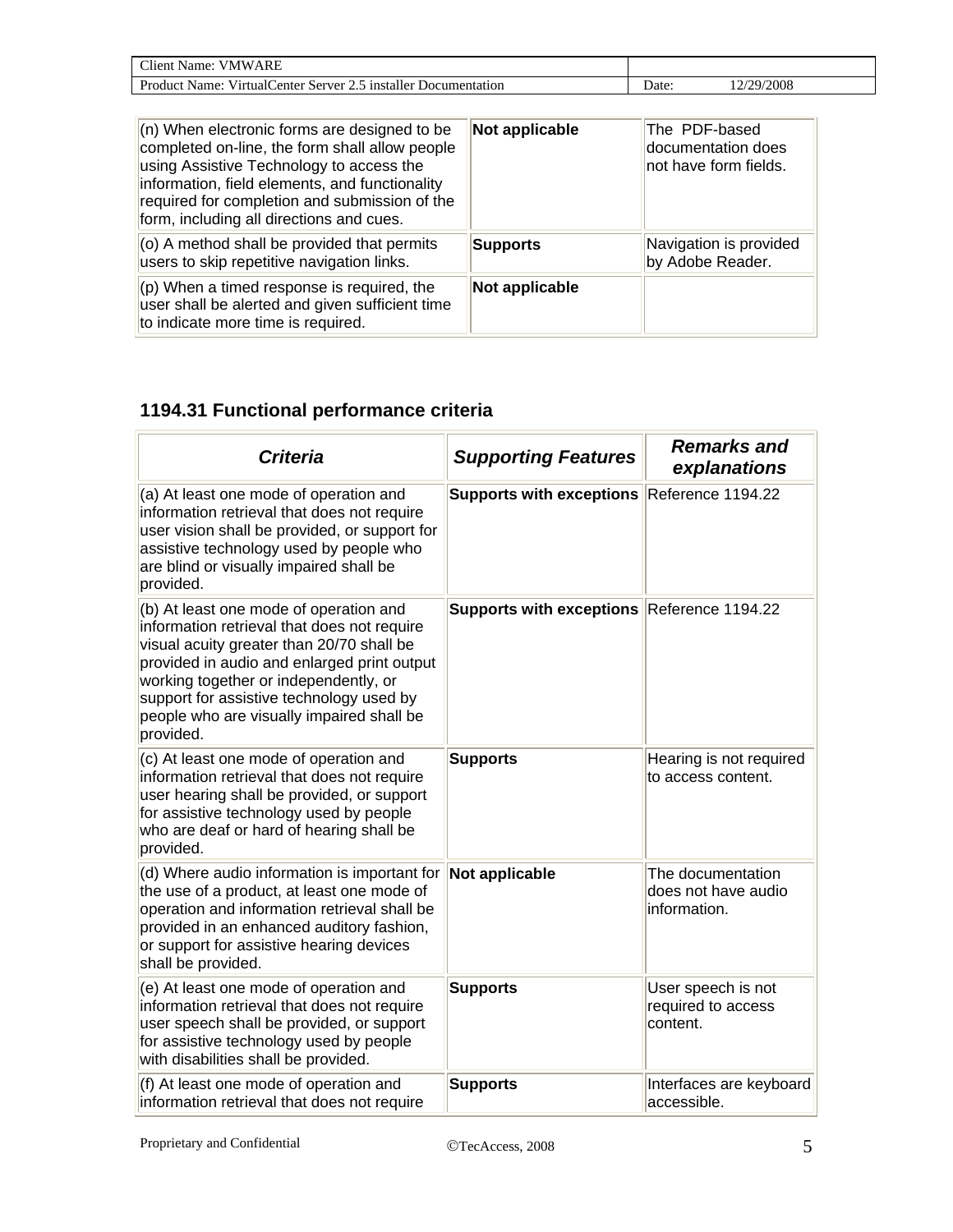| $\cap$ lient $\Box$<br>VMWARE<br>Name:                                          |      |                       |
|---------------------------------------------------------------------------------|------|-----------------------|
| Product<br>nstaller د.<br>Server<br>Virtual(<br>Name:<br>enter<br>Documentation | Jate | $\sqrt{2008}$<br>/2Q. |

| $(n)$ When electronic forms are designed to be<br>completed on-line, the form shall allow people<br>using Assistive Technology to access the<br>information, field elements, and functionality<br>required for completion and submission of the<br>form, including all directions and cues. | Not applicable  | The PDF-based<br>documentation does<br>not have form fields. |
|---------------------------------------------------------------------------------------------------------------------------------------------------------------------------------------------------------------------------------------------------------------------------------------------|-----------------|--------------------------------------------------------------|
| (o) A method shall be provided that permits<br>users to skip repetitive navigation links.                                                                                                                                                                                                   | <b>Supports</b> | Navigation is provided<br>by Adobe Reader.                   |
| $(p)$ When a timed response is required, the<br>user shall be alerted and given sufficient time<br>to indicate more time is required.                                                                                                                                                       | Not applicable  |                                                              |

### **1194.31 Functional performance criteria**

| <b>Criteria</b>                                                                                                                                                                                                                                                                                                                  | <b>Supporting Features</b>                 | <b>Remarks and</b><br>explanations                       |
|----------------------------------------------------------------------------------------------------------------------------------------------------------------------------------------------------------------------------------------------------------------------------------------------------------------------------------|--------------------------------------------|----------------------------------------------------------|
| (a) At least one mode of operation and<br>information retrieval that does not require<br>user vision shall be provided, or support for<br>assistive technology used by people who<br>are blind or visually impaired shall be<br>provided.                                                                                        | <b>Supports with exceptions</b>            | Reference 1194.22                                        |
| (b) At least one mode of operation and<br>information retrieval that does not require<br>visual acuity greater than 20/70 shall be<br>provided in audio and enlarged print output<br>working together or independently, or<br>support for assistive technology used by<br>people who are visually impaired shall be<br>provided. | Supports with exceptions Reference 1194.22 |                                                          |
| (c) At least one mode of operation and<br>information retrieval that does not require<br>user hearing shall be provided, or support<br>for assistive technology used by people<br>who are deaf or hard of hearing shall be<br>provided.                                                                                          | <b>Supports</b>                            | Hearing is not required<br>to access content.            |
| (d) Where audio information is important for<br>the use of a product, at least one mode of<br>operation and information retrieval shall be<br>provided in an enhanced auditory fashion,<br>or support for assistive hearing devices<br>shall be provided.                                                                        | Not applicable                             | The documentation<br>does not have audio<br>information. |
| (e) At least one mode of operation and<br>information retrieval that does not require<br>user speech shall be provided, or support<br>for assistive technology used by people<br>with disabilities shall be provided.                                                                                                            | <b>Supports</b>                            | User speech is not<br>required to access<br>content.     |
| (f) At least one mode of operation and<br>information retrieval that does not require                                                                                                                                                                                                                                            | <b>Supports</b>                            | Interfaces are keyboard<br>accessible.                   |